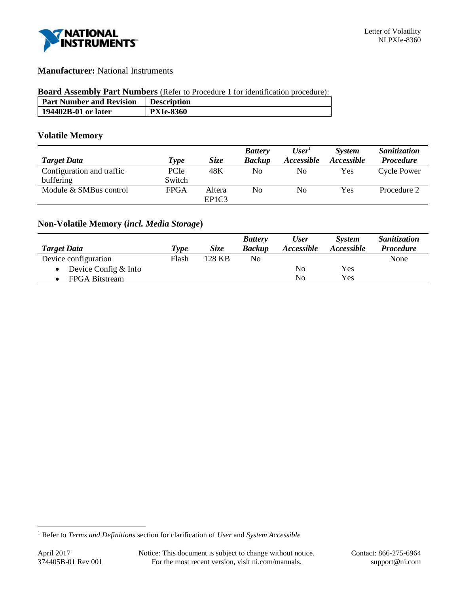

# **Manufacturer:** National Instruments

## **Board Assembly Part Numbers** (Refer to Procedure 1 for identification procedure):

| <b>Part Number and Revision</b> | <b>Description</b> |
|---------------------------------|--------------------|
| 194402B-01 or later             | <b>PXIe-8360</b>   |

# **Volatile Memory**

|                           |             |                                | <b>Battery</b> | User'             | <b>System</b>     | Sanitization       |
|---------------------------|-------------|--------------------------------|----------------|-------------------|-------------------|--------------------|
| <b>Target Data</b>        | Type        | <b>Size</b>                    | <b>Backup</b>  | <i>Accessible</i> | <i>Accessible</i> | <b>Procedure</b>   |
| Configuration and traffic | PCIe        | 48K                            | No             | No                | <b>Yes</b>        | <b>Cycle Power</b> |
| buffering                 | Switch      |                                |                |                   |                   |                    |
| Module & SMBus control    | <b>FPGA</b> | Altera                         | No             | No                | Yes               | Procedure 2        |
|                           |             | EP <sub>1</sub> C <sub>3</sub> |                |                   |                   |                    |

# **Non-Volatile Memory (***incl. Media Storage***)**

|                      |       |             | <b>Battery</b> | <b>User</b> | <b>System</b> | Sanitization     |
|----------------------|-------|-------------|----------------|-------------|---------------|------------------|
| <b>Target Data</b>   | Type  | <b>Size</b> | <b>Backup</b>  | Accessible  | Accessible    | <b>Procedure</b> |
| Device configuration | Flash | 128 KB      | No             |             |               | None             |
| Device Config & Info |       |             |                | No          | Yes           |                  |
| FPGA Bitstream       |       |             |                | No          | Yes           |                  |

l

<sup>1</sup> Refer to *Terms and Definitions* section for clarification of *User* and *System Accessible*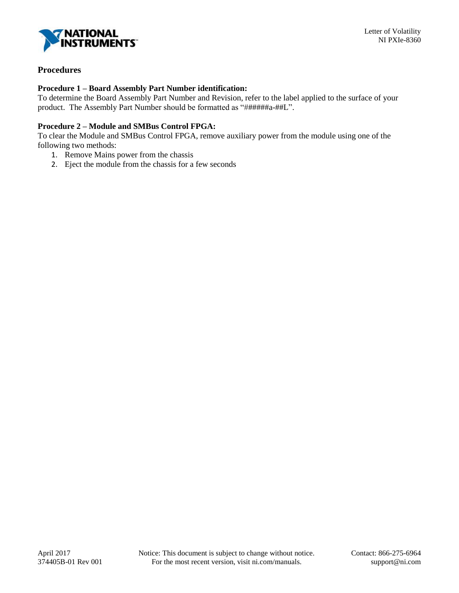

# **Procedures**

### **Procedure 1 – Board Assembly Part Number identification:**

To determine the Board Assembly Part Number and Revision, refer to the label applied to the surface of your product. The Assembly Part Number should be formatted as "######a-##L".

## **Procedure 2 – Module and SMBus Control FPGA:**

To clear the Module and SMBus Control FPGA, remove auxiliary power from the module using one of the following two methods:

- 1. Remove Mains power from the chassis
- 2. Eject the module from the chassis for a few seconds